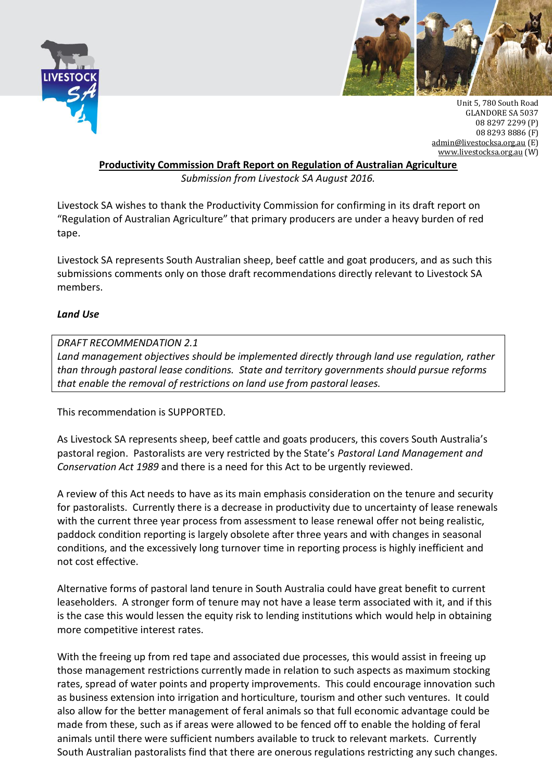



Unit 5, 780 South Road GLANDORE SA 5037 08 8297 2299 (P) 08 8293 8886 (F) [admin@livestocksa.org.au](mailto:admin@livestocksa.org.au) (E) [www.livestocksa.org.au](http://www.livestocksa.org.au/) (W)

**Productivity Commission Draft Report on Regulation of Australian Agriculture**

*Submission from Livestock SA August 2016.*

Livestock SA wishes to thank the Productivity Commission for confirming in its draft report on "Regulation of Australian Agriculture" that primary producers are under a heavy burden of red tape.

Livestock SA represents South Australian sheep, beef cattle and goat producers, and as such this submissions comments only on those draft recommendations directly relevant to Livestock SA members.

## *Land Use*

*DRAFT RECOMMENDATION 2.1 Land management objectives should be implemented directly through land use regulation, rather than through pastoral lease conditions. State and territory governments should pursue reforms that enable the removal of restrictions on land use from pastoral leases.*

This recommendation is SUPPORTED.

As Livestock SA represents sheep, beef cattle and goats producers, this covers South Australia's pastoral region. Pastoralists are very restricted by the State's *Pastoral Land Management and Conservation Act 1989* and there is a need for this Act to be urgently reviewed.

A review of this Act needs to have as its main emphasis consideration on the tenure and security for pastoralists. Currently there is a decrease in productivity due to uncertainty of lease renewals with the current three year process from assessment to lease renewal offer not being realistic, paddock condition reporting is largely obsolete after three years and with changes in seasonal conditions, and the excessively long turnover time in reporting process is highly inefficient and not cost effective.

Alternative forms of pastoral land tenure in South Australia could have great benefit to current leaseholders. A stronger form of tenure may not have a lease term associated with it, and if this is the case this would lessen the equity risk to lending institutions which would help in obtaining more competitive interest rates.

With the freeing up from red tape and associated due processes, this would assist in freeing up those management restrictions currently made in relation to such aspects as maximum stocking rates, spread of water points and property improvements. This could encourage innovation such as business extension into irrigation and horticulture, tourism and other such ventures. It could also allow for the better management of feral animals so that full economic advantage could be made from these, such as if areas were allowed to be fenced off to enable the holding of feral animals until there were sufficient numbers available to truck to relevant markets. Currently South Australian pastoralists find that there are onerous regulations restricting any such changes.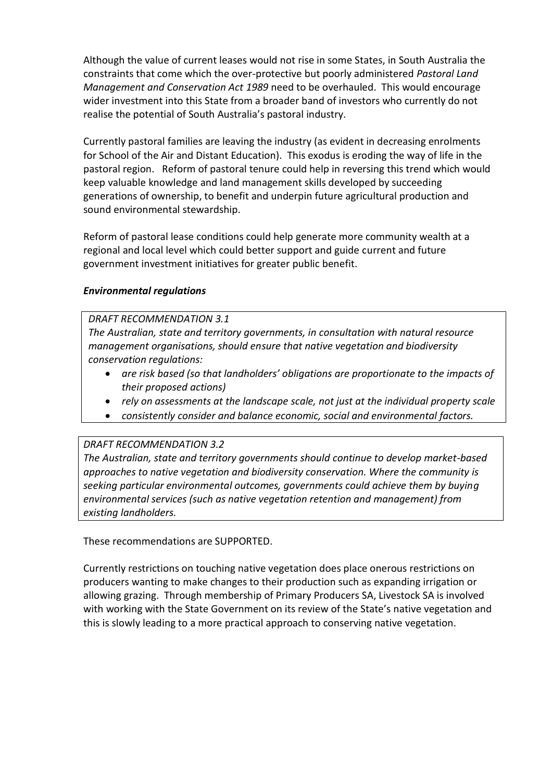Although the value of current leases would not rise in some States, in South Australia the constraints that come which the over-protective but poorly administered *Pastoral Land Management and Conservation Act 1989* need to be overhauled. This would encourage wider investment into this State from a broader band of investors who currently do not realise the potential of South Australia's pastoral industry.

Currently pastoral families are leaving the industry (as evident in decreasing enrolments for School of the Air and Distant Education). This exodus is eroding the way of life in the pastoral region. Reform of pastoral tenure could help in reversing this trend which would keep valuable knowledge and land management skills developed by succeeding generations of ownership, to benefit and underpin future agricultural production and sound environmental stewardship.

Reform of pastoral lease conditions could help generate more community wealth at a regional and local level which could better support and guide current and future government investment initiatives for greater public benefit.

## *Environmental regulations*

*DRAFT RECOMMENDATION 3.1* 

*The Australian, state and territory governments, in consultation with natural resource management organisations, should ensure that native vegetation and biodiversity conservation regulations:* 

- *are risk based (so that landholders' obligations are proportionate to the impacts of their proposed actions)*
- *rely on assessments at the landscape scale, not just at the individual property scale*
- *consistently consider and balance economic, social and environmental factors.*

#### *DRAFT RECOMMENDATION 3.2*

*The Australian, state and territory governments should continue to develop market-based approaches to native vegetation and biodiversity conservation. Where the community is seeking particular environmental outcomes, governments could achieve them by buying environmental services (such as native vegetation retention and management) from existing landholders.* 

These recommendations are SUPPORTED.

Currently restrictions on touching native vegetation does place onerous restrictions on producers wanting to make changes to their production such as expanding irrigation or allowing grazing. Through membership of Primary Producers SA, Livestock SA is involved with working with the State Government on its review of the State's native vegetation and this is slowly leading to a more practical approach to conserving native vegetation.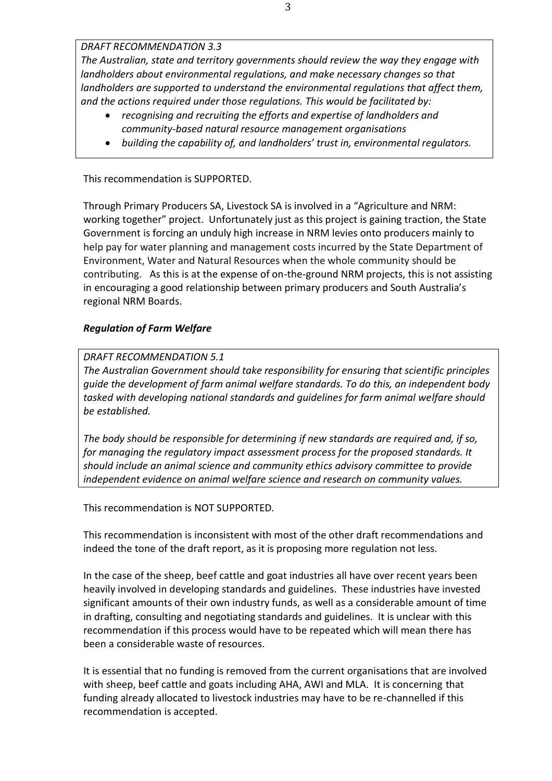*DRAFT RECOMMENDATION 3.3* 

*The Australian, state and territory governments should review the way they engage with landholders about environmental regulations, and make necessary changes so that landholders are supported to understand the environmental regulations that affect them, and the actions required under those regulations. This would be facilitated by:* 

- *recognising and recruiting the efforts and expertise of landholders and community-based natural resource management organisations*
- *building the capability of, and landholders' trust in, environmental regulators.*

This recommendation is SUPPORTED.

Through Primary Producers SA, Livestock SA is involved in a "Agriculture and NRM: working together" project. Unfortunately just as this project is gaining traction, the State Government is forcing an unduly high increase in NRM levies onto producers mainly to help pay for water planning and management costs incurred by the State Department of Environment, Water and Natural Resources when the whole community should be contributing. As this is at the expense of on-the-ground NRM projects, this is not assisting in encouraging a good relationship between primary producers and South Australia's regional NRM Boards.

# *Regulation of Farm Welfare*

## *DRAFT RECOMMENDATION 5.1*

*The Australian Government should take responsibility for ensuring that scientific principles guide the development of farm animal welfare standards. To do this, an independent body tasked with developing national standards and guidelines for farm animal welfare should be established.* 

*The body should be responsible for determining if new standards are required and, if so, for managing the regulatory impact assessment process for the proposed standards. It should include an animal science and community ethics advisory committee to provide independent evidence on animal welfare science and research on community values.* 

This recommendation is NOT SUPPORTED.

This recommendation is inconsistent with most of the other draft recommendations and indeed the tone of the draft report, as it is proposing more regulation not less.

In the case of the sheep, beef cattle and goat industries all have over recent years been heavily involved in developing standards and guidelines. These industries have invested significant amounts of their own industry funds, as well as a considerable amount of time in drafting, consulting and negotiating standards and guidelines. It is unclear with this recommendation if this process would have to be repeated which will mean there has been a considerable waste of resources.

It is essential that no funding is removed from the current organisations that are involved with sheep, beef cattle and goats including AHA, AWI and MLA. It is concerning that funding already allocated to livestock industries may have to be re-channelled if this recommendation is accepted.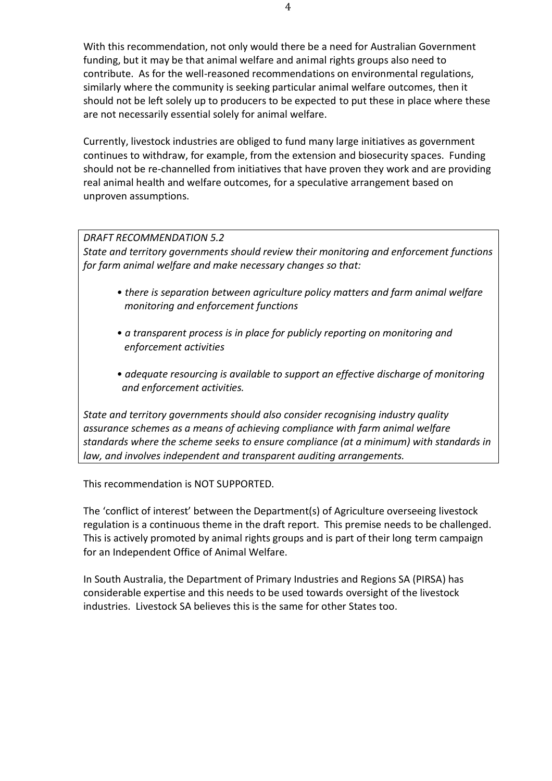With this recommendation, not only would there be a need for Australian Government funding, but it may be that animal welfare and animal rights groups also need to contribute. As for the well-reasoned recommendations on environmental regulations, similarly where the community is seeking particular animal welfare outcomes, then it should not be left solely up to producers to be expected to put these in place where these are not necessarily essential solely for animal welfare.

Currently, livestock industries are obliged to fund many large initiatives as government continues to withdraw, for example, from the extension and biosecurity spaces. Funding should not be re-channelled from initiatives that have proven they work and are providing real animal health and welfare outcomes, for a speculative arrangement based on unproven assumptions.

# *DRAFT RECOMMENDATION 5.2*

*State and territory governments should review their monitoring and enforcement functions for farm animal welfare and make necessary changes so that:* 

- *there is separation between agriculture policy matters and farm animal welfare monitoring and enforcement functions*
- *a transparent process is in place for publicly reporting on monitoring and enforcement activities*
- *adequate resourcing is available to support an effective discharge of monitoring and enforcement activities.*

*State and territory governments should also consider recognising industry quality assurance schemes as a means of achieving compliance with farm animal welfare standards where the scheme seeks to ensure compliance (at a minimum) with standards in law, and involves independent and transparent auditing arrangements.* 

This recommendation is NOT SUPPORTED.

The 'conflict of interest' between the Department(s) of Agriculture overseeing livestock regulation is a continuous theme in the draft report. This premise needs to be challenged. This is actively promoted by animal rights groups and is part of their long term campaign for an Independent Office of Animal Welfare.

In South Australia, the [Department of Primary Industries and Regions SA \(PIRSA\)](http://www.pir.sa.gov.au/) has considerable expertise and this needs to be used towards oversight of the livestock industries. Livestock SA believes this is the same for other States too.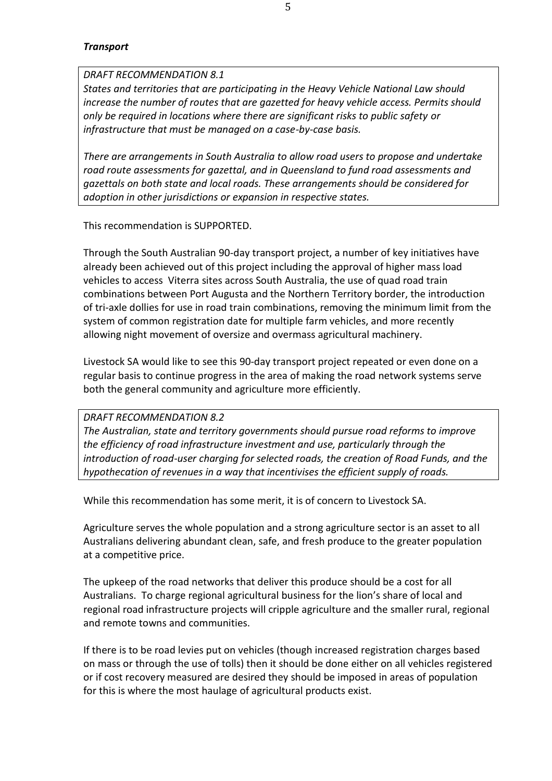#### *Transport*

# *DRAFT RECOMMENDATION 8.1*

*States and territories that are participating in the Heavy Vehicle National Law should increase the number of routes that are gazetted for heavy vehicle access. Permits should only be required in locations where there are significant risks to public safety or infrastructure that must be managed on a case-by-case basis.* 

*There are arrangements in South Australia to allow road users to propose and undertake road route assessments for gazettal, and in Queensland to fund road assessments and gazettals on both state and local roads. These arrangements should be considered for adoption in other jurisdictions or expansion in respective states.* 

This recommendation is SUPPORTED.

Through the South Australian 90-day transport project, a number of key initiatives have already been achieved out of this project including the approval of higher mass load vehicles to access Viterra sites across South Australia, the use of quad road train combinations between Port Augusta and the Northern Territory border, the introduction of tri-axle dollies for use in road train combinations, removing the minimum limit from the system of common registration date for multiple farm vehicles, and more recently allowing night movement of oversize and overmass agricultural machinery.

Livestock SA would like to see this 90-day transport project repeated or even done on a regular basis to continue progress in the area of making the road network systems serve both the general community and agriculture more efficiently.

#### *DRAFT RECOMMENDATION 8.2*

*The Australian, state and territory governments should pursue road reforms to improve the efficiency of road infrastructure investment and use, particularly through the introduction of road-user charging for selected roads, the creation of Road Funds, and the hypothecation of revenues in a way that incentivises the efficient supply of roads.* 

While this recommendation has some merit, it is of concern to Livestock SA.

Agriculture serves the whole population and a strong agriculture sector is an asset to all Australians delivering abundant clean, safe, and fresh produce to the greater population at a competitive price.

The upkeep of the road networks that deliver this produce should be a cost for all Australians. To charge regional agricultural business for the lion's share of local and regional road infrastructure projects will cripple agriculture and the smaller rural, regional and remote towns and communities.

If there is to be road levies put on vehicles (though increased registration charges based on mass or through the use of tolls) then it should be done either on all vehicles registered or if cost recovery measured are desired they should be imposed in areas of population for this is where the most haulage of agricultural products exist.